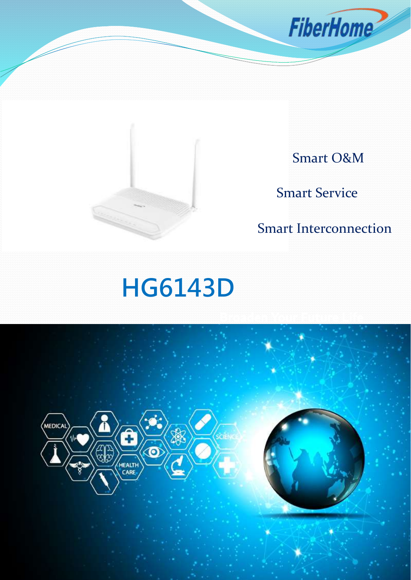



Smart O&M

Smart Service

Smart Interconnection

# **HG6143D**